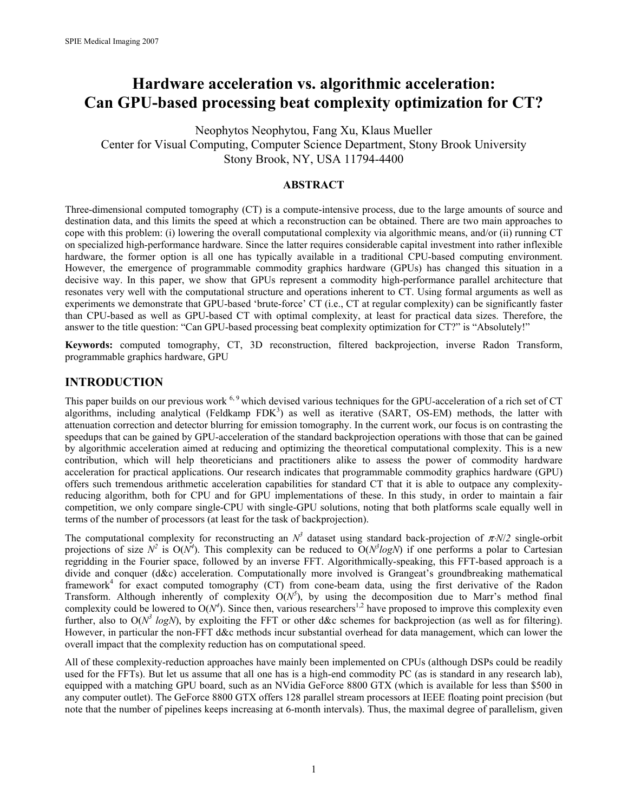# **Hardware acceleration vs. algorithmic acceleration: Can GPU-based processing beat complexity optimization for CT?**

Neophytos Neophytou, Fang Xu, Klaus Mueller Center for Visual Computing, Computer Science Department, Stony Brook University Stony Brook, NY, USA 11794-4400

#### **ABSTRACT**

Three-dimensional computed tomography (CT) is a compute-intensive process, due to the large amounts of source and destination data, and this limits the speed at which a reconstruction can be obtained. There are two main approaches to cope with this problem: (i) lowering the overall computational complexity via algorithmic means, and/or (ii) running CT on specialized high-performance hardware. Since the latter requires considerable capital investment into rather inflexible hardware, the former option is all one has typically available in a traditional CPU-based computing environment. However, the emergence of programmable commodity graphics hardware (GPUs) has changed this situation in a decisive way. In this paper, we show that GPUs represent a commodity high-performance parallel architecture that resonates very well with the computational structure and operations inherent to CT. Using formal arguments as well as experiments we demonstrate that GPU-based 'brute-force' CT (i.e., CT at regular complexity) can be significantly faster than CPU-based as well as GPU-based CT with optimal complexity, at least for practical data sizes. Therefore, the answer to the title question: "Can GPU-based processing beat complexity optimization for CT?" is "Absolutely!"

**Keywords:** computed tomography, CT, 3D reconstruction, filtered backprojection, inverse Radon Transform, programmable graphics hardware, GPU

## **INTRODUCTION**

This paper builds on our previous work <sup>6, 9</sup> which devised various techniques for the GPU-acceleration of a rich set of CT algorithms, including analytical (Feldkamp  $FDK<sup>3</sup>$ ) as well as iterative (SART, OS-EM) methods, the latter with attenuation correction and detector blurring for emission tomography. In the current work, our focus is on contrasting the speedups that can be gained by GPU-acceleration of the standard backprojection operations with those that can be gained by algorithmic acceleration aimed at reducing and optimizing the theoretical computational complexity. This is a new contribution, which will help theoreticians and practitioners alike to assess the power of commodity hardware acceleration for practical applications. Our research indicates that programmable commodity graphics hardware (GPU) offers such tremendous arithmetic acceleration capabilities for standard CT that it is able to outpace any complexityreducing algorithm, both for CPU and for GPU implementations of these. In this study, in order to maintain a fair competition, we only compare single-CPU with single-GPU solutions, noting that both platforms scale equally well in terms of the number of processors (at least for the task of backprojection).

The computational complexity for reconstructing an  $N^3$  dataset using standard back-projection of  $\pi N/2$  single-orbit projections of size  $N^2$  is  $O(N^4)$ . This complexity can be reduced to  $O(N^3 log N)$  if one performs a polar to Cartesian regridding in the Fourier space, followed by an inverse FFT. Algorithmically-speaking, this FFT-based approach is a divide and conquer (d&c) acceleration. Computationally more involved is Grangeat's groundbreaking mathematical framework<sup>4</sup> for exact computed tomography (CT) from cone-beam data, using the first derivative of the Radon Transform. Although inherently of complexity  $O(N^5)$ , by using the decomposition due to Marr's method final complexity could be lowered to  $O(N^4)$ . Since then, various researchers<sup>1,2</sup> have proposed to improve this complexity even further, also to  $O(N^3 \log N)$ , by exploiting the FFT or other d&c schemes for backprojection (as well as for filtering). However, in particular the non-FFT d&c methods incur substantial overhead for data management, which can lower the overall impact that the complexity reduction has on computational speed.

All of these complexity-reduction approaches have mainly been implemented on CPUs (although DSPs could be readily used for the FFTs). But let us assume that all one has is a high-end commodity PC (as is standard in any research lab), equipped with a matching GPU board, such as an NVidia GeForce 8800 GTX (which is available for less than \$500 in any computer outlet). The GeForce 8800 GTX offers 128 parallel stream processors at IEEE floating point precision (but note that the number of pipelines keeps increasing at 6-month intervals). Thus, the maximal degree of parallelism, given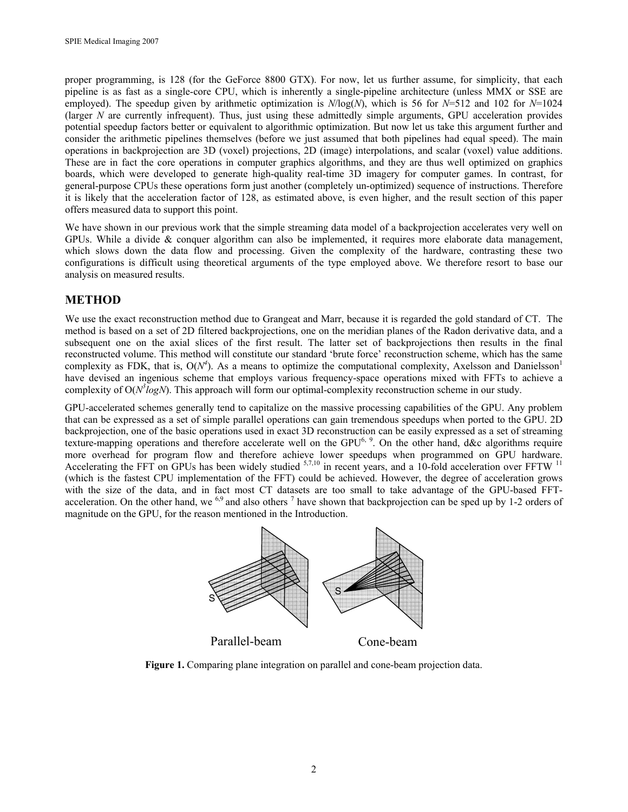proper programming, is 128 (for the GeForce 8800 GTX). For now, let us further assume, for simplicity, that each pipeline is as fast as a single-core CPU, which is inherently a single-pipeline architecture (unless MMX or SSE are employed). The speedup given by arithmetic optimization is *N*/log(*N*), which is 56 for *N*=512 and 102 for *N*=1024 (larger *N* are currently infrequent). Thus, just using these admittedly simple arguments, GPU acceleration provides potential speedup factors better or equivalent to algorithmic optimization. But now let us take this argument further and consider the arithmetic pipelines themselves (before we just assumed that both pipelines had equal speed). The main operations in backprojection are 3D (voxel) projections, 2D (image) interpolations, and scalar (voxel) value additions. These are in fact the core operations in computer graphics algorithms, and they are thus well optimized on graphics boards, which were developed to generate high-quality real-time 3D imagery for computer games. In contrast, for general-purpose CPUs these operations form just another (completely un-optimized) sequence of instructions. Therefore it is likely that the acceleration factor of 128, as estimated above, is even higher, and the result section of this paper offers measured data to support this point.

We have shown in our previous work that the simple streaming data model of a backprojection accelerates very well on GPUs. While a divide & conquer algorithm can also be implemented, it requires more elaborate data management, which slows down the data flow and processing. Given the complexity of the hardware, contrasting these two configurations is difficult using theoretical arguments of the type employed above. We therefore resort to base our analysis on measured results.

# **METHOD**

We use the exact reconstruction method due to Grangeat and Marr, because it is regarded the gold standard of CT. The method is based on a set of 2D filtered backprojections, one on the meridian planes of the Radon derivative data, and a subsequent one on the axial slices of the first result. The latter set of backprojections then results in the final reconstructed volume. This method will constitute our standard 'brute force' reconstruction scheme, which has the same complexity as FDK, that is,  $O(N^4)$ . As a means to optimize the computational complexity, Axelsson and Danielsson<sup>1</sup> have devised an ingenious scheme that employs various frequency-space operations mixed with FFTs to achieve a complexity of O( $N^{3}logN$ ). This approach will form our optimal-complexity reconstruction scheme in our study.

GPU-accelerated schemes generally tend to capitalize on the massive processing capabilities of the GPU. Any problem that can be expressed as a set of simple parallel operations can gain tremendous speedups when ported to the GPU. 2D backprojection, one of the basic operations used in exact 3D reconstruction can be easily expressed as a set of streaming texture-mapping operations and therefore accelerate well on the GPU<sup>6, 9</sup>. On the other hand, d&c algorithms require more overhead for program flow and therefore achieve lower speedups when programmed on GPU hardware. Accelerating the FFT on GPUs has been widely studied  $5,7,10$  in recent years, and a 10-fold acceleration over FFTW  $11$ (which is the fastest CPU implementation of the FFT) could be achieved. However, the degree of acceleration grows with the size of the data, and in fact most CT datasets are too small to take advantage of the GPU-based FFTacceleration. On the other hand, we  $^{6,9}$  and also others  $^7$  have shown that backprojection can be sped up by 1-2 orders of magnitude on the GPU, for the reason mentioned in the Introduction.



**Figure 1.** Comparing plane integration on parallel and cone-beam projection data.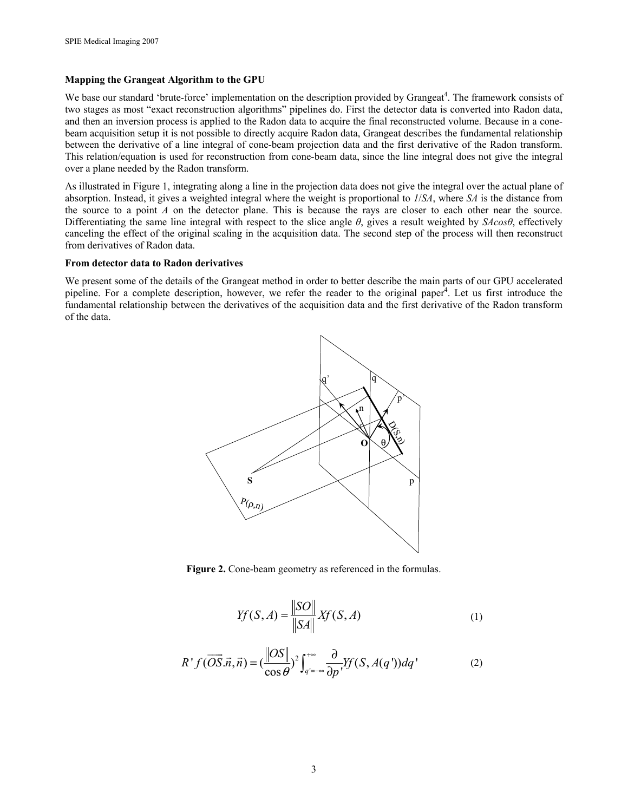#### **Mapping the Grangeat Algorithm to the GPU**

We base our standard 'brute-force' implementation on the description provided by Grangeat<sup>4</sup>. The framework consists of two stages as most "exact reconstruction algorithms" pipelines do. First the detector data is converted into Radon data, and then an inversion process is applied to the Radon data to acquire the final reconstructed volume. Because in a conebeam acquisition setup it is not possible to directly acquire Radon data, Grangeat describes the fundamental relationship between the derivative of a line integral of cone-beam projection data and the first derivative of the Radon transform. This relation/equation is used for reconstruction from cone-beam data, since the line integral does not give the integral over a plane needed by the Radon transform.

As illustrated in Figure 1, integrating along a line in the projection data does not give the integral over the actual plane of absorption. Instead, it gives a weighted integral where the weight is proportional to *1*/*SA*, where *SA* is the distance from the source to a point *A* on the detector plane. This is because the rays are closer to each other near the source. Differentiating the same line integral with respect to the slice angle *θ*, gives a result weighted by *SAcosθ*, effectively canceling the effect of the original scaling in the acquisition data. The second step of the process will then reconstruct from derivatives of Radon data.

#### **From detector data to Radon derivatives**

We present some of the details of the Grangeat method in order to better describe the main parts of our GPU accelerated pipeline. For a complete description, however, we refer the reader to the original paper<sup>4</sup>. Let us first introduce the fundamental relationship between the derivatives of the acquisition data and the first derivative of the Radon transform of the data.



**Figure 2.** Cone-beam geometry as referenced in the formulas.

$$
Yf(S, A) = \frac{\|SO\|}{\|SA\|} Xf(S, A)
$$
 (1)

$$
R^{\dagger} f(\overrightarrow{OS}.\overrightarrow{n}, \overrightarrow{n}) = (\frac{\|OS\|}{\cos \theta})^2 \int_{q'=-\infty}^{+\infty} \frac{\partial}{\partial p'} Yf(S, A(q')) dq' \tag{2}
$$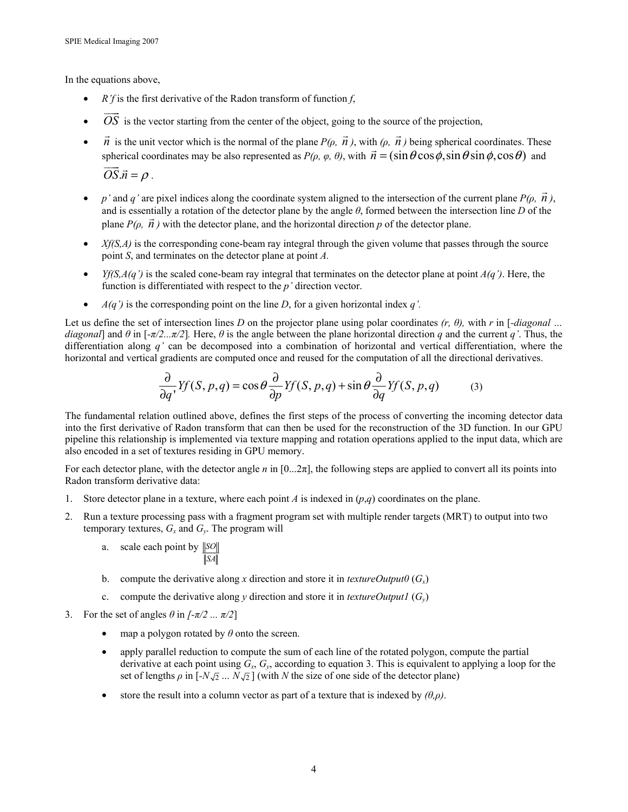In the equations above,

- $R'f$  is the first derivative of the Radon transform of function  $f$ ,
- *OS*  $\overline{\phantom{a}}$ is the vector starting from the center of the object, going to the source of the projection,
- *n* is the unit vector which is the normal of the plane  $P(\rho, \vec{n})$ , with  $(\rho, \vec{n})$  being spherical coordinates. These spherical coordinates may be also represented as  $P(\rho, \varphi, \theta)$ , with  $\vec{n} = (\sin \theta \cos \phi, \sin \theta \sin \phi, \cos \theta)$  and  $OS \vec{n} = \rho$ .
- *p*' and *q*' are pixel indices along the coordinate system aligned to the intersection of the current plane  $P(\rho, \vec{n})$ , and is essentially a rotation of the detector plane by the angle *θ*, formed between the intersection line *D* of the G plane  $P(\rho, \vec{n})$  with the detector plane, and the horizontal direction  $p$  of the detector plane.
- *Xf(S,A)* is the corresponding cone-beam ray integral through the given volume that passes through the source point *S*, and terminates on the detector plane at point *A.*
- *Yf(S,A(q')* is the scaled cone-beam ray integral that terminates on the detector plane at point  $A(q')$ . Here, the function is differentiated with respect to the *p'* direction vector.
- $A(q')$  is the corresponding point on the line *D*, for a given horizontal index *q'*.

Let us define the set of intersection lines *D* on the projector plane using polar coordinates *(r, θ),* with *r* in [*-diagonal … diagonal*] and  $\theta$  in [ $-\pi/2...\pi/2$ ]. Here,  $\theta$  is the angle between the plane horizontal direction *q* and the current *q'*. Thus, the differentiation along *q'* can be decomposed into a combination of horizontal and vertical differentiation, where the horizontal and vertical gradients are computed once and reused for the computation of all the directional derivatives.

$$
\frac{\partial}{\partial q'} Yf(S, p, q) = \cos \theta \frac{\partial}{\partial p} Yf(S, p, q) + \sin \theta \frac{\partial}{\partial q} Yf(S, p, q) \tag{3}
$$

The fundamental relation outlined above, defines the first steps of the process of converting the incoming detector data into the first derivative of Radon transform that can then be used for the reconstruction of the 3D function. In our GPU pipeline this relationship is implemented via texture mapping and rotation operations applied to the input data, which are also encoded in a set of textures residing in GPU memory.

For each detector plane, with the detector angle *n* in [0...2π], the following steps are applied to convert all its points into Radon transform derivative data:

- 1. Store detector plane in a texture, where each point *A* is indexed in (*p*,*q*) coordinates on the plane.
- 2. Run a texture processing pass with a fragment program set with multiple render targets (MRT) to output into two temporary textures,  $G_x$  and  $G_y$ . The program will
	- a. scale each point by *SO SA*
	- b. compute the derivative along *x* direction and store it in *textureOutput0*  $(G<sub>x</sub>)$
	- c. compute the derivative along *y* direction and store it in *textureOutput1*  $(G_v)$
- 3. For the set of angles  $\theta$  in  $[-\pi/2 \dots \pi/2]$ 
	- map a polygon rotated by *θ* onto the screen.
	- apply parallel reduction to compute the sum of each line of the rotated polygon, compute the partial derivative at each point using *Gx*, *Gy*, according to equation 3. This is equivalent to applying a loop for the set of lengths  $\rho$  in  $[-N\sqrt{2} \dots N\sqrt{2}]$  (with *N* the size of one side of the detector plane)
	- store the result into a column vector as part of a texture that is indexed by  $(\theta, \rho)$ .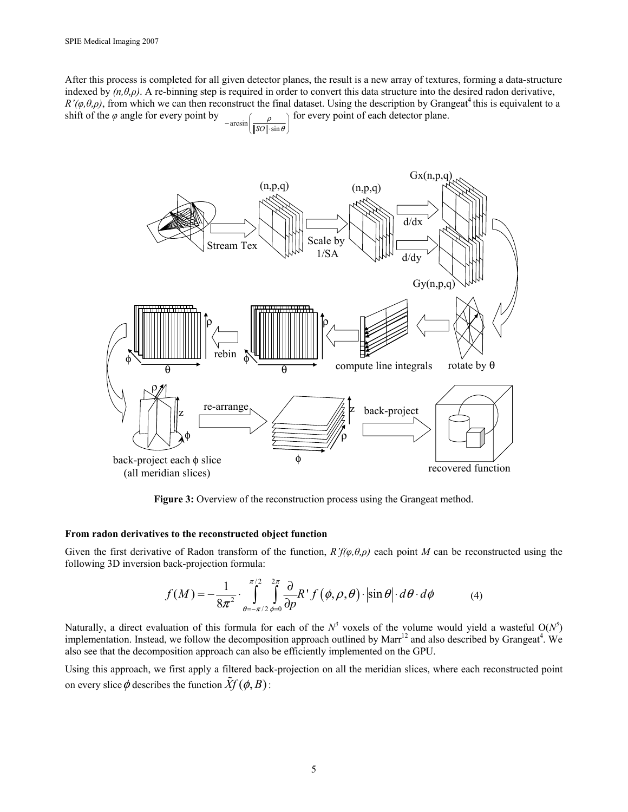After this process is completed for all given detector planes, the result is a new array of textures, forming a data-structure indexed by  $(n, \theta, \rho)$ . A re-binning step is required in order to convert this data structure into the desired radon derivative,  $R'(\varphi,\theta,\rho)$ , from which we can then reconstruct the final dataset. Using the description by Grangeat<sup>4</sup> this is equivalent to a shift of the  $\varphi$  angle for every point by ρ .<br>| aresi  $\rightarrow$  for every point of each detector plane.

$$
\ln\left(\frac{P}{\|SO\|\cdot\sin\theta}\right)
$$



**Figure 3:** Overview of the reconstruction process using the Grangeat method.

#### **From radon derivatives to the reconstructed object function**

Given the first derivative of Radon transform of the function,  $R'f(\varphi,\theta,\rho)$  each point *M* can be reconstructed using the following 3D inversion back-projection formula:

$$
f(M) = -\frac{1}{8\pi^2} \cdot \int_{\theta=-\pi/2}^{\pi/2} \int_{\phi=0}^{2\pi} \frac{\partial}{\partial p} R^{\dagger} f(\phi, \rho, \theta) \cdot \left| \sin \theta \right| \cdot d\theta \cdot d\phi \tag{4}
$$

Naturally, a direct evaluation of this formula for each of the  $N^3$  voxels of the volume would yield a wasteful  $O(N^5)$ implementation. Instead, we follow the decomposition approach outlined by Marr<sup>12</sup> and also described by Grangeat<sup>4</sup>. We also see that the decomposition approach can also be efficiently implemented on the GPU.

Using this approach, we first apply a filtered back-projection on all the meridian slices, where each reconstructed point on every slice  $\phi$  describes the function  $\hat{X}f(\phi, B)$ :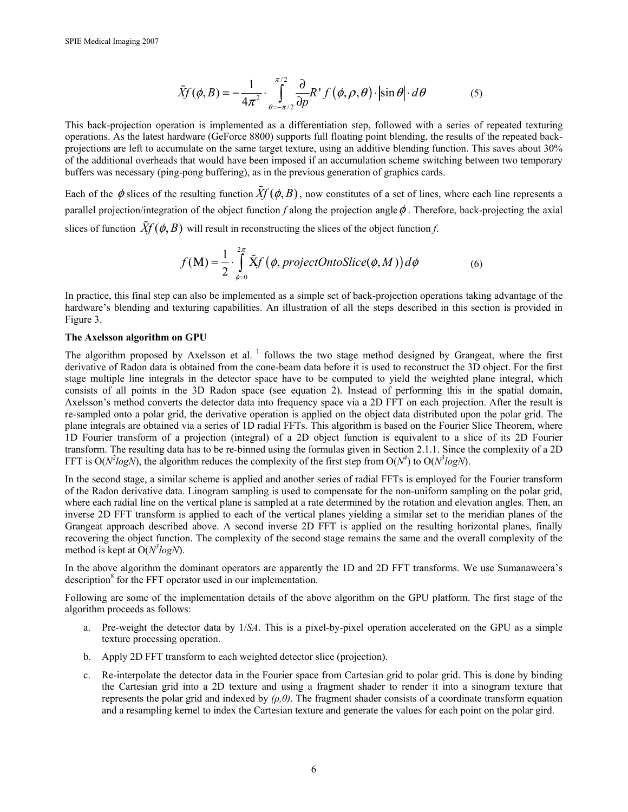$$
\tilde{X}f(\phi,B) = -\frac{1}{4\pi^2} \cdot \int_{\theta=-\pi/2}^{\pi/2} \frac{\partial}{\partial p} R^{\dagger} f(\phi,\rho,\theta) \cdot \left| \sin \theta \right| \cdot d\theta \tag{5}
$$

This back-projection operation is implemented as a differentiation step, followed with a series of repeated texturing operations. As the latest hardware (GeForce 8800) supports full floating point blending, the results of the repeated backprojections are left to accumulate on the same target texture, using an additive blending function. This saves about 30% of the additional overheads that would have been imposed if an accumulation scheme switching between two temporary buffers was necessary (ping-pong buffering), as in the previous generation of graphics cards.

Each of the  $\phi$  slices of the resulting function  $\tilde{X}f(\phi, B)$ , now constitutes of a set of lines, where each line represents a parallel projection/integration of the object function  $f$  along the projection angle  $\phi$ . Therefore, back-projecting the axial slices of function  $\hat{X}f(\phi, B)$  will result in reconstructing the slices of the object function *f*.

$$
f(\mathbf{M}) = \frac{1}{2} \cdot \int_{\phi=0}^{2\pi} \tilde{X} f(\phi, project OntoSlice(\phi, M)) d\phi
$$
 (6)

In practice, this final step can also be implemented as a simple set of back-projection operations taking advantage of the hardware's blending and texturing capabilities. An illustration of all the steps described in this section is provided in Figure 3.

#### **The Axelsson algorithm on GPU**

The algorithm proposed by Axelsson et al.  $<sup>1</sup>$  follows the two stage method designed by Grangeat, where the first</sup> derivative of Radon data is obtained from the cone-beam data before it is used to reconstruct the 3D object. For the first stage multiple line integrals in the detector space have to be computed to yield the weighted plane integral, which consists of all points in the 3D Radon space (see equation 2). Instead of performing this in the spatial domain, Axelsson's method converts the detector data into frequency space via a 2D FFT on each projection. After the result is re-sampled onto a polar grid, the derivative operation is applied on the object data distributed upon the polar grid. The plane integrals are obtained via a series of 1D radial FFTs. This algorithm is based on the Fourier Slice Theorem, where 1D Fourier transform of a projection (integral) of a 2D object function is equivalent to a slice of its 2D Fourier transform. The resulting data has to be re-binned using the formulas given in Section 2.1.1. Since the complexity of a 2D FFT is  $O(N^2 log N)$ , the algorithm reduces the complexity of the first step from  $O(N^4)$  to  $O(N^3 log N)$ .

In the second stage, a similar scheme is applied and another series of radial FFTs is employed for the Fourier transform of the Radon derivative data. Linogram sampling is used to compensate for the non-uniform sampling on the polar grid, where each radial line on the vertical plane is sampled at a rate determined by the rotation and elevation angles. Then, an inverse 2D FFT transform is applied to each of the vertical planes yielding a similar set to the meridian planes of the Grangeat approach described above. A second inverse 2D FFT is applied on the resulting horizontal planes, finally recovering the object function. The complexity of the second stage remains the same and the overall complexity of the method is kept at  $O(N^3 log N)$ .

In the above algorithm the dominant operators are apparently the 1D and 2D FFT transforms. We use Sumanaweera's description<sup>8</sup> for the FFT operator used in our implementation.

Following are some of the implementation details of the above algorithm on the GPU platform. The first stage of the algorithm proceeds as follows:

- a. Pre-weight the detector data by 1/*SA*. This is a pixel-by-pixel operation accelerated on the GPU as a simple texture processing operation.
- b. Apply 2D FFT transform to each weighted detector slice (projection).
- c. Re-interpolate the detector data in the Fourier space from Cartesian grid to polar grid. This is done by binding the Cartesian grid into a 2D texture and using a fragment shader to render it into a sinogram texture that represents the polar grid and indexed by *(ρ,θ)*. The fragment shader consists of a coordinate transform equation and a resampling kernel to index the Cartesian texture and generate the values for each point on the polar gird.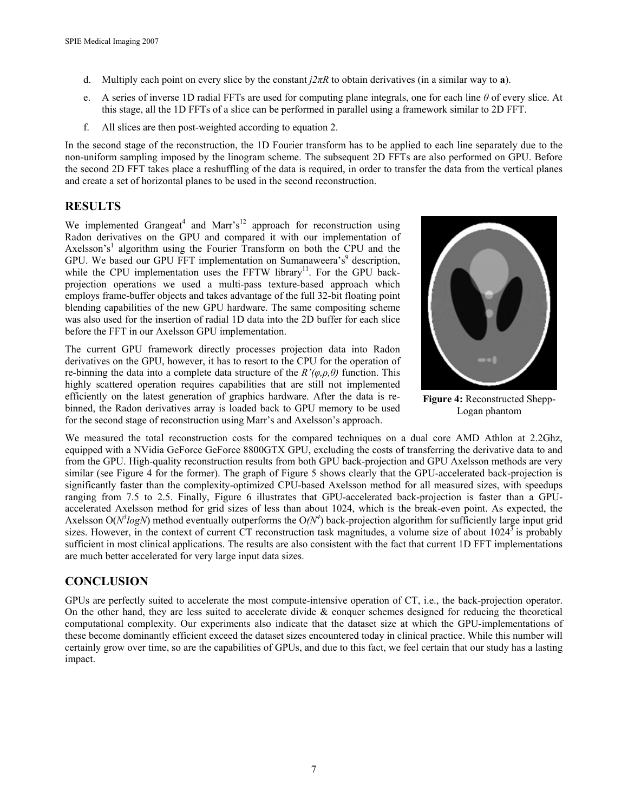- d. Multiply each point on every slice by the constant *j2πR* to obtain derivatives (in a similar way to **a**).
- e. A series of inverse 1D radial FFTs are used for computing plane integrals, one for each line *θ* of every slice. At this stage, all the 1D FFTs of a slice can be performed in parallel using a framework similar to 2D FFT.
- f. All slices are then post-weighted according to equation 2.

In the second stage of the reconstruction, the 1D Fourier transform has to be applied to each line separately due to the non-uniform sampling imposed by the linogram scheme. The subsequent 2D FFTs are also performed on GPU. Before the second 2D FFT takes place a reshuffling of the data is required, in order to transfer the data from the vertical planes and create a set of horizontal planes to be used in the second reconstruction.

# **RESULTS**

We implemented Grangeat<sup>4</sup> and Marr's<sup>12</sup> approach for reconstruction using Radon derivatives on the GPU and compared it with our implementation of Axelsson's<sup>1</sup> algorithm using the Fourier Transform on both the CPU and the GPU. We based our GPU FFT implementation on Sumanaweera's<sup>9</sup> description, while the CPU implementation uses the FFTW library<sup>11</sup>. For the GPU backprojection operations we used a multi-pass texture-based approach which employs frame-buffer objects and takes advantage of the full 32-bit floating point blending capabilities of the new GPU hardware. The same compositing scheme was also used for the insertion of radial 1D data into the 2D buffer for each slice before the FFT in our Axelsson GPU implementation.





**Figure 4:** Reconstructed Shepp-Logan phantom

We measured the total reconstruction costs for the compared techniques on a dual core AMD Athlon at 2.2Ghz, equipped with a NVidia GeForce GeForce 8800GTX GPU, excluding the costs of transferring the derivative data to and from the GPU. High-quality reconstruction results from both GPU back-projection and GPU Axelsson methods are very similar (see Figure 4 for the former). The graph of Figure 5 shows clearly that the GPU-accelerated back-projection is significantly faster than the complexity-optimized CPU-based Axelsson method for all measured sizes, with speedups ranging from 7.5 to 2.5. Finally, Figure 6 illustrates that GPU-accelerated back-projection is faster than a GPUaccelerated Axelsson method for grid sizes of less than about 1024, which is the break-even point. As expected, the Axelsson  $O(N^3 log N)$  method eventually outperforms the  $O(N^4)$  back-projection algorithm for sufficiently large input grid sizes. However, in the context of current CT reconstruction task magnitudes, a volume size of about 1024<sup>3</sup> is probably sufficient in most clinical applications. The results are also consistent with the fact that current 1D FFT implementations are much better accelerated for very large input data sizes.

# **CONCLUSION**

GPUs are perfectly suited to accelerate the most compute-intensive operation of CT, i.e., the back-projection operator. On the other hand, they are less suited to accelerate divide  $\&$  conquer schemes designed for reducing the theoretical computational complexity. Our experiments also indicate that the dataset size at which the GPU-implementations of these become dominantly efficient exceed the dataset sizes encountered today in clinical practice. While this number will certainly grow over time, so are the capabilities of GPUs, and due to this fact, we feel certain that our study has a lasting impact.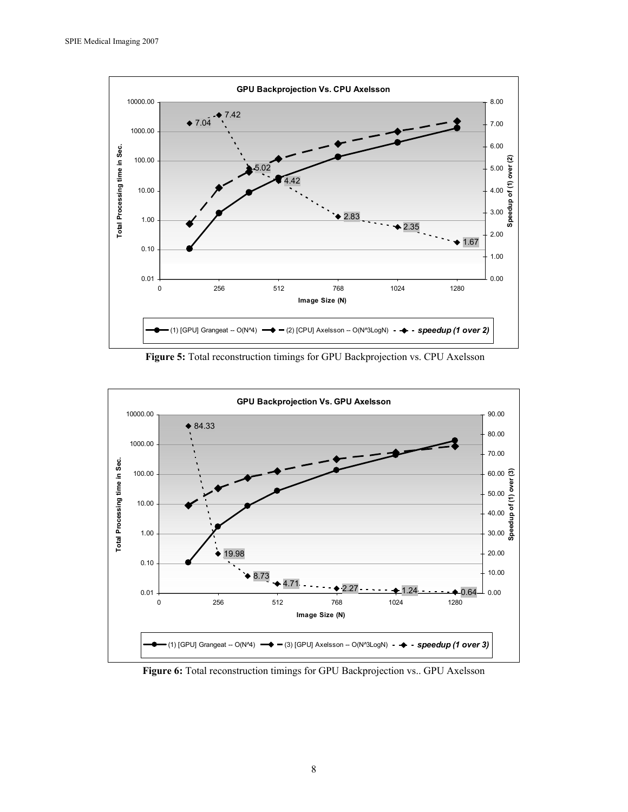

**Figure 5:** Total reconstruction timings for GPU Backprojection vs. CPU Axelsson



**Figure 6:** Total reconstruction timings for GPU Backprojection vs.. GPU Axelsson